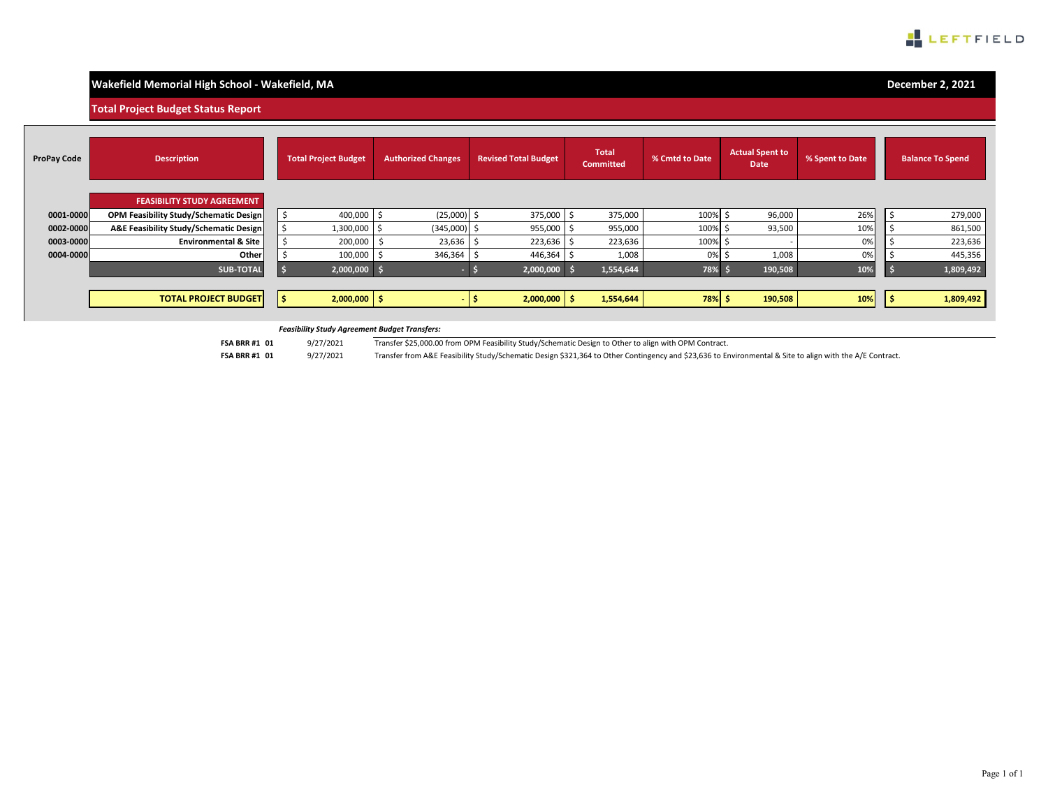

# **Wakefield Memorial High School - Wakefield, MA**

**December 2, 2021**

**Total Project Budget Status Report**

| <b>ProPay Code</b> | <b>Description</b>                            | <b>Total Project Budget</b> | <b>Authorized Changes</b> | <b>Revised Total Budget</b> | Total<br><b>Committed</b> | % Cmtd to Date | <b>Actual Spent to</b><br>Date | % Spent to Date | <b>Balance To Spend</b> |
|--------------------|-----------------------------------------------|-----------------------------|---------------------------|-----------------------------|---------------------------|----------------|--------------------------------|-----------------|-------------------------|
|                    | <b>FEASIBILITY STUDY AGREEMENT</b>            |                             |                           |                             |                           |                |                                |                 |                         |
| 0001-0000          | <b>OPM Feasibility Study/Schematic Design</b> | 400,000                     | (25,000)                  | 375,000                     | 375,000                   | 100%           | 96,000                         | 26%             | 279,000                 |
| 0002-0000          | A&E Feasibility Study/Schematic Design        | 1,300,000 \$                | (345,000)                 | 955,000                     | 955,000                   | 100%           | 93,500                         | 10%             | 861,500                 |
| 0003-0000          | <b>Environmental &amp; Site</b>               | 200,000                     | 23,636                    | 223,636                     | 223,636                   | 100%           |                                | 0%              | 223,636                 |
| 0004-0000          | Other                                         | 100,000                     | 346,364                   | 446,364                     | 1,008                     | 0%             | 1,008                          | 0%              | 445,356                 |
|                    | <b>SUB-TOTAL</b>                              | $2,000,000$ \$              |                           | 2,000,000                   | 1,554,644                 | 78%            | 190,508                        | 10%             | 1,809,492               |
|                    |                                               |                             |                           |                             |                           |                |                                |                 |                         |
|                    | <b>TOTAL PROJECT BUDGET</b>                   | $2,000,000$ \$              |                           | $2,000,000$ \$              | 1,554,644                 | 78% \$         | 190,508                        | 10%             | 1,809,492               |

#### *Feasibility Study Agreement Budget Transfers:*

**FSA BRR #1 01** 9/27/2021

Transfer \$25,000.00 from OPM Feasibility Study/Schematic Design to Other to align with OPM Contract.

**FSA BRR #1 01** 9/27/2021

Transfer from A&E Feasibility Study/Schematic Design \$321,364 to Other Contingency and \$23,636 to Environmental & Site to align with the A/E Contract.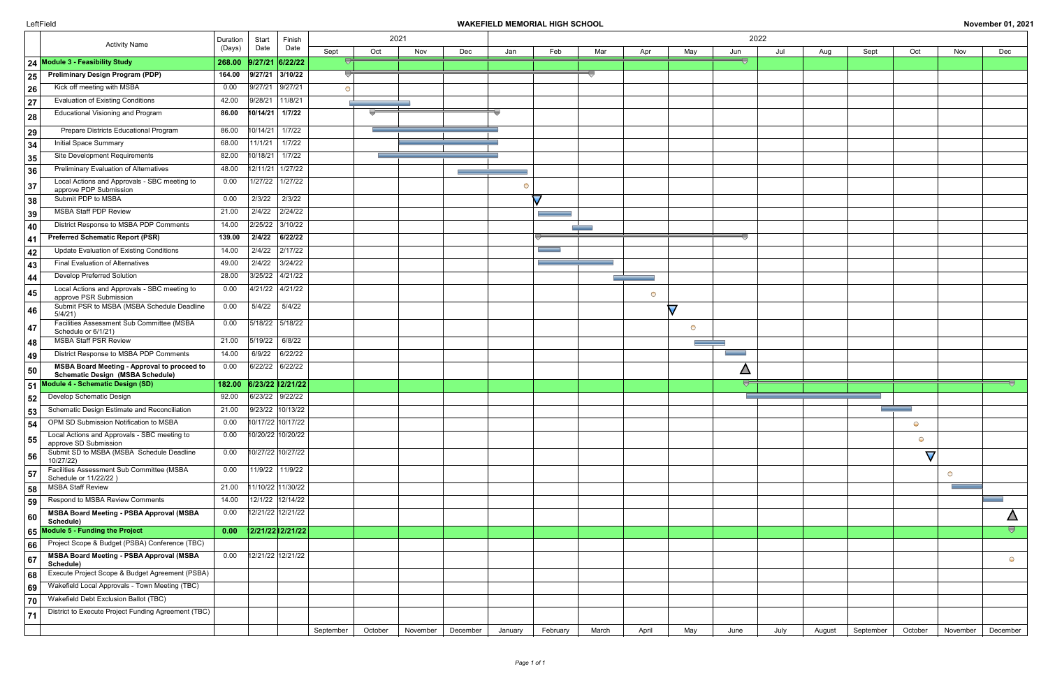|    | <b>Activity Name</b>                                                                          | Duration | 2021<br>2022<br>Start<br>Finish |                |         |          |          |         |                          |       |            |               |      |      |        |           |               |            |                                           |
|----|-----------------------------------------------------------------------------------------------|----------|---------------------------------|----------------|---------|----------|----------|---------|--------------------------|-------|------------|---------------|------|------|--------|-----------|---------------|------------|-------------------------------------------|
|    |                                                                                               | (Days)   | Date                            | Date<br>Sept   | Oct     | Nov      | Dec      | Jan     | Feb                      | Mar   | Apr        | May           | Jun  | Jul  | Aug    | Sept      | Oct           | Nov        | Dec                                       |
|    | 24 Module 3 - Feasibility Study                                                               | 268.00   | $9/27/21$ 6/22/22               |                |         |          |          |         |                          |       |            |               | -0   |      |        |           |               |            |                                           |
| 25 | <b>Preliminary Design Program (PDP)</b>                                                       | 164.00   | 9/27/21 3/10/22                 |                |         |          |          |         |                          |       |            |               |      |      |        |           |               |            |                                           |
| 26 | Kick off meeting with MSBA                                                                    | 0.00     | 9/27/21 9/27/21                 | $\bigcirc$     |         |          |          |         |                          |       |            |               |      |      |        |           |               |            |                                           |
| 27 | <b>Evaluation of Existing Conditions</b>                                                      | 42.00    | 9/28/21 11/8/21                 |                |         |          |          |         |                          |       |            |               |      |      |        |           |               |            |                                           |
| 28 | <b>Educational Visioning and Program</b>                                                      | 86.00    | $10/14/21$ 1/7/22               |                |         |          |          |         |                          |       |            |               |      |      |        |           |               |            |                                           |
| 29 | Prepare Districts Educational Program                                                         | 86.00    | $10/14/21$ 1/7/22               |                |         |          |          |         |                          |       |            |               |      |      |        |           |               |            |                                           |
| 34 | Initial Space Summary                                                                         | 68.00    | 11/1/21                         | $\vert$ 1/7/22 |         |          |          |         |                          |       |            |               |      |      |        |           |               |            |                                           |
| 35 | Site Development Requirements                                                                 | 82.00    | $10/18/21$ 1/7/22               |                |         |          |          |         |                          |       |            |               |      |      |        |           |               |            |                                           |
| 36 | Preliminary Evaluation of Alternatives                                                        | 48.00    | $12/11/21$ 1/27/22              |                |         |          |          |         |                          |       |            |               |      |      |        |           |               |            |                                           |
| 37 | Local Actions and Approvals - SBC meeting to                                                  | 0.00     | $1/27/22$   $1/27/22$           |                |         |          |          |         |                          |       |            |               |      |      |        |           |               |            |                                           |
|    | approve PDP Submission<br>Submit PDP to MSBA                                                  | 0.00     | 2/3/22                          | 2/3/22         |         |          |          |         | $\overline{\phantom{a}}$ |       |            |               |      |      |        |           |               |            |                                           |
| 38 | <b>MSBA Staff PDP Review</b>                                                                  | 21.00    | 2/4/22                          | 2/24/22        |         |          |          |         |                          |       |            |               |      |      |        |           |               |            |                                           |
| 39 | District Response to MSBA PDP Comments                                                        | 14.00    | 2/25/22 3/10/22                 |                |         |          |          |         |                          |       |            |               |      |      |        |           |               |            |                                           |
| 40 | <b>Preferred Schematic Report (PSR)</b>                                                       | 139.00   | 2/4/22                          | 6/22/22        |         |          |          |         |                          |       |            |               | --   |      |        |           |               |            |                                           |
| 41 | Update Evaluation of Existing Conditions                                                      | 14.00    | $2/4/22$ 2/17/22                |                |         |          |          |         |                          |       |            |               |      |      |        |           |               |            |                                           |
| 42 | <b>Final Evaluation of Alternatives</b>                                                       | 49.00    | 2/4/22                          | 3/24/22        |         |          |          |         |                          |       |            |               |      |      |        |           |               |            |                                           |
| 43 | <b>Develop Preferred Solution</b>                                                             | 28.00    | 3/25/22 4/21/22                 |                |         |          |          |         |                          |       |            |               |      |      |        |           |               |            |                                           |
| 44 | Local Actions and Approvals - SBC meeting to                                                  |          | $4/21/22$ $4/21/22$             |                |         |          |          |         |                          |       |            |               |      |      |        |           |               |            |                                           |
| 45 | approve PSR Submission                                                                        | 0.00     |                                 |                |         |          |          |         |                          |       | $\bigcirc$ |               |      |      |        |           |               |            |                                           |
| 46 | Submit PSR to MSBA (MSBA Schedule Deadline<br>5/4/21)                                         | 0.00     | 5/4/22                          | 5/4/22         |         |          |          |         |                          |       |            | $\bm{\nabla}$ |      |      |        |           |               |            |                                           |
| 47 | Facilities Assessment Sub Committee (MSBA<br>Schedule or 6/1/21)                              | 0.00     | 5/18/22 5/18/22                 |                |         |          |          |         |                          |       |            | $\circ$       |      |      |        |           |               |            |                                           |
| 48 | <b>MSBA Staff PSR Review</b>                                                                  | 21.00    | 5/19/22 6/8/22                  |                |         |          |          |         |                          |       |            |               |      |      |        |           |               |            |                                           |
| 49 | District Response to MSBA PDP Comments                                                        | 14.00    | $6/9/22$ 6/22/22                |                |         |          |          |         |                          |       |            |               |      |      |        |           |               |            |                                           |
| 50 | <b>MSBA Board Meeting - Approval to proceed to</b><br><b>Schematic Design (MSBA Schedule)</b> | 0.00     | 6/22/22 6/22/22                 |                |         |          |          |         |                          |       |            |               | Δ    |      |        |           |               |            |                                           |
|    | 51 Module 4 - Schematic Design (SD)                                                           | 182.00   | 6/23/22 12/21/22                |                |         |          |          |         |                          |       |            |               |      |      |        |           |               |            |                                           |
| 52 | Develop Schematic Design                                                                      | 92.00    | 6/23/22 9/22/22                 |                |         |          |          |         |                          |       |            |               |      |      |        |           |               |            |                                           |
| 53 | Schematic Design Estimate and Reconciliation                                                  | 21.00    | 9/23/22 10/13/22                |                |         |          |          |         |                          |       |            |               |      |      |        |           |               |            |                                           |
| 54 | OPM SD Submission Notification to MSBA                                                        | 0.00     | 10/17/22 10/17/22               |                |         |          |          |         |                          |       |            |               |      |      |        |           | $\bigcirc$    |            |                                           |
| 55 | Local Actions and Approvals - SBC meeting to<br>approve SD Submission                         | 0.00     | 10/20/22 10/20/22               |                |         |          |          |         |                          |       |            |               |      |      |        |           | $\bigcirc$    |            |                                           |
| 56 | Submit SD to MSBA (MSBA Schedule Deadline                                                     | 0.00     | 10/27/22 10/27/22               |                |         |          |          |         |                          |       |            |               |      |      |        |           | $\bm{\nabla}$ |            |                                           |
| 57 | 10/27/22)<br>Facilities Assessment Sub Committee (MSBA                                        | 0.00     | 11/9/22 11/9/22                 |                |         |          |          |         |                          |       |            |               |      |      |        |           |               | $\bigcirc$ |                                           |
|    | Schedule or 11/22/22)<br><b>MSBA Staff Review</b>                                             | 21.00    | 11/10/22 11/30/22               |                |         |          |          |         |                          |       |            |               |      |      |        |           |               |            |                                           |
| 58 | Respond to MSBA Review Comments                                                               | 14.00    | 12/1/22 12/14/22                |                |         |          |          |         |                          |       |            |               |      |      |        |           |               |            |                                           |
| 59 | <b>MSBA Board Meeting - PSBA Approval (MSBA</b>                                               | 0.00     | 12/21/22 12/21/22               |                |         |          |          |         |                          |       |            |               |      |      |        |           |               |            |                                           |
| 60 | Schedule)                                                                                     |          |                                 |                |         |          |          |         |                          |       |            |               |      |      |        |           |               |            | $\Delta$<br>$\overline{\bigtriangledown}$ |
|    | 65 Module 5 - Funding the Project<br>Project Scope & Budget (PSBA) Conference (TBC)           | 0.00     | 2/21/22 2/21/22                 |                |         |          |          |         |                          |       |            |               |      |      |        |           |               |            |                                           |
| 66 | <b>MSBA Board Meeting - PSBA Approval (MSBA</b>                                               | 0.00     | 12/21/22 12/21/22               |                |         |          |          |         |                          |       |            |               |      |      |        |           |               |            |                                           |
| 67 | Schedule)                                                                                     |          |                                 |                |         |          |          |         |                          |       |            |               |      |      |        |           |               |            | $\bigcirc$                                |
| 68 | Execute Project Scope & Budget Agreement (PSBA)                                               |          |                                 |                |         |          |          |         |                          |       |            |               |      |      |        |           |               |            |                                           |
| 69 | Wakefield Local Approvals - Town Meeting (TBC)                                                |          |                                 |                |         |          |          |         |                          |       |            |               |      |      |        |           |               |            |                                           |
| 70 | Wakefield Debt Exclusion Ballot (TBC)                                                         |          |                                 |                |         |          |          |         |                          |       |            |               |      |      |        |           |               |            |                                           |
| 71 | District to Execute Project Funding Agreement (TBC)                                           |          |                                 |                |         |          |          |         |                          |       |            |               |      |      |        |           |               |            |                                           |
|    |                                                                                               |          |                                 | September      | October | November | December | January | February                 | March | April      | May           | June | July | August | September | October       | November   | December                                  |

# LeftField **WAKEFIELD MEMORIAL HIGH SCHOOL November 01, 2021**